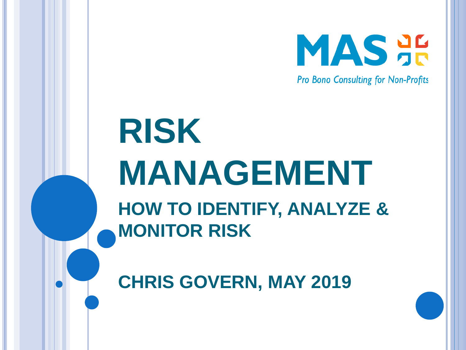

**Pro Bono Consulting for Non-Profits** 

# **RISK MANAGEMENT HOW TO IDENTIFY, ANALYZE & MONITOR RISK**

**CHRIS GOVERN, MAY 2019**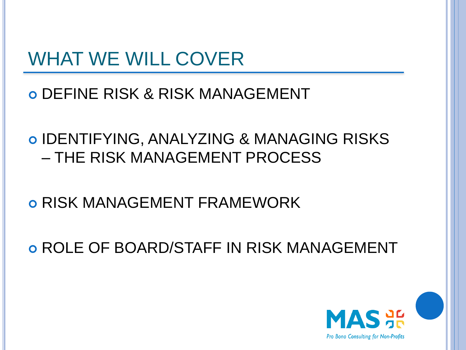### WHAT WE WILL COVER

DEFINE RISK & RISK MANAGEMENT

 IDENTIFYING, ANALYZING & MANAGING RISKS – THE RISK MANAGEMENT PROCESS

RISK MANAGEMENT FRAMEWORK

**O ROLE OF BOARD/STAFF IN RISK MANAGEMENT** 

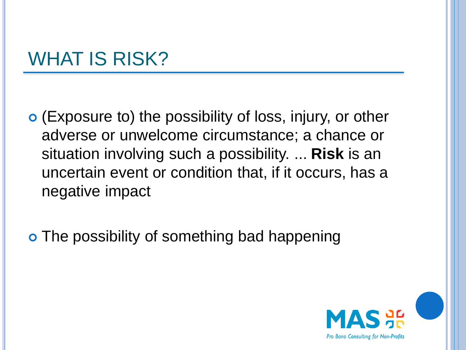### WHAT IS RISK?

- (Exposure to) the possibility of loss, injury, or other adverse or unwelcome circumstance; a chance or situation involving such a possibility. ... **Risk** is an uncertain event or condition that, if it occurs, has a negative impact
- o The possibility of something bad happening

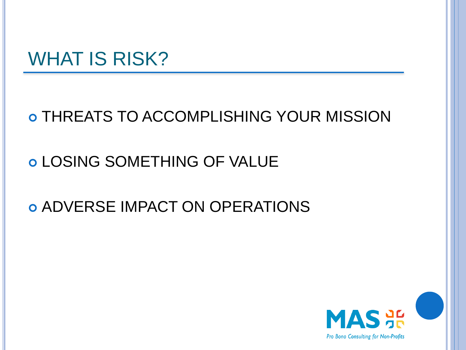### WHAT IS RISK?

#### o THREATS TO ACCOMPLISHING YOUR MISSION

#### LOSING SOMETHING OF VALUE

#### ADVERSE IMPACT ON OPERATIONS

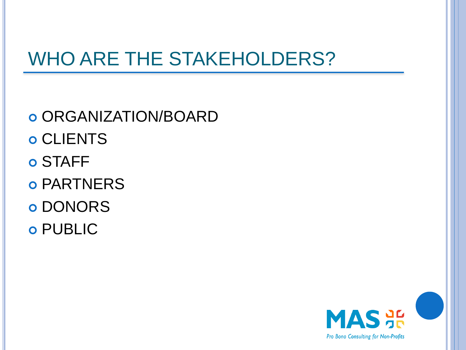### WHO ARE THE STAKEHOLDERS?

o ORGANIZATION/BOARD o CLIENTS STAFF o PARTNERS o DONORS PUBLIC

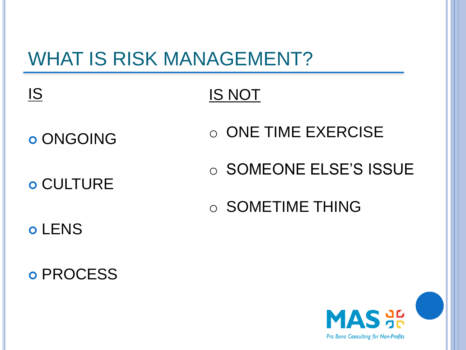### WHAT IS RISK MANAGEMENT?

#### IS IS NOT

### o ONGOING

#### o CULTURE

### o ONE TIME EXERCISE

#### o SOMEONE ELSE'S ISSUE

#### o SOMETIME THING

#### o LENS

#### o PROCESS

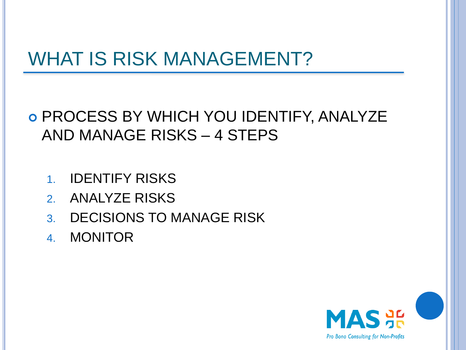### WHAT IS RISK MANAGEMENT?

#### **o PROCESS BY WHICH YOU IDENTIFY, ANALYZE** AND MANAGE RISKS – 4 STEPS

- 1. IDENTIFY RISKS
- 2. ANALYZE RISKS
- 3. DECISIONS TO MANAGE RISK
- 4. MONITOR

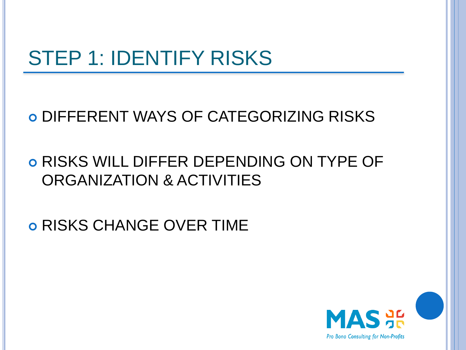#### DIFFERENT WAYS OF CATEGORIZING RISKS

#### RISKS WILL DIFFER DEPENDING ON TYPE OF ORGANIZATION & ACTIVITIES

#### RISKS CHANGE OVER TIME

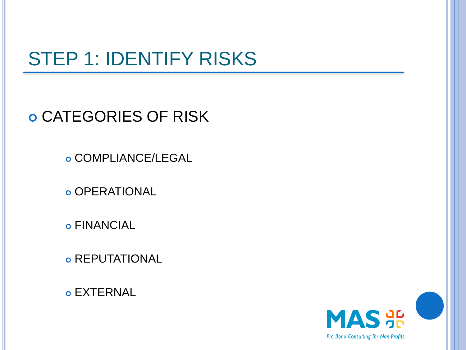#### CATEGORIES OF RISK

COMPLIANCE/LEGAL

o OPERATIONAL

FINANCIAL

**o REPUTATIONAL** 

EXTERNAL

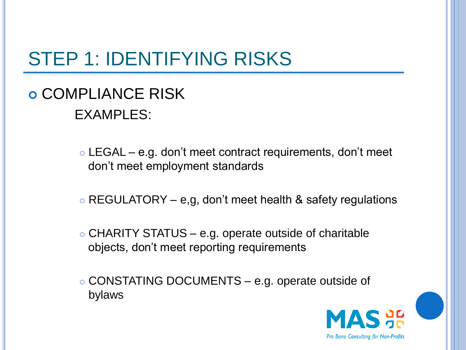#### **o COMPLIANCE RISK** EXAMPLES:

 LEGAL – e.g. don't meet contract requirements, don't meet don't meet employment standards

- REGULATORY e,g, don't meet health & safety regulations
- CHARITY STATUS e.g. operate outside of charitable objects, don't meet reporting requirements
- CONSTATING DOCUMENTS e.g. operate outside of bylaws

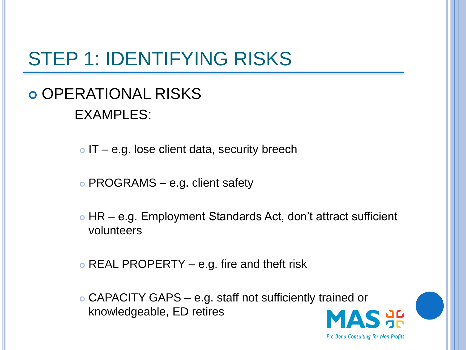#### **o OPERATIONAL RISKS** EXAMPLES:

 $\circ$  IT – e.g. lose client data, security breech

PROGRAMS – e.g. client safety

 HR – e.g. Employment Standards Act, don't attract sufficient volunteers

 $\circ$  REAL PROPERTY – e.g. fire and theft risk

 CAPACITY GAPS – e.g. staff not sufficiently trained or knowledgeable, ED retires

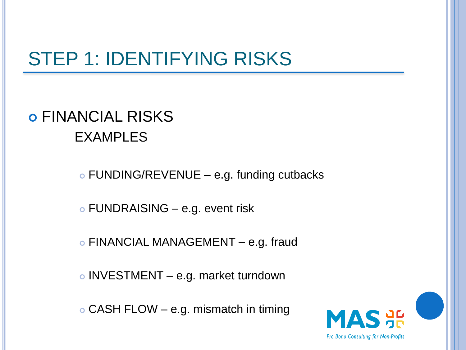#### FINANCIAL RISKS EXAMPLES

o FUNDING/REVENUE – e.g. funding cutbacks

FUNDRAISING – e.g. event risk

FINANCIAL MANAGEMENT – e.g. fraud

o INVESTMENT – e.g. market turndown

CASH FLOW – e.g. mismatch in timing

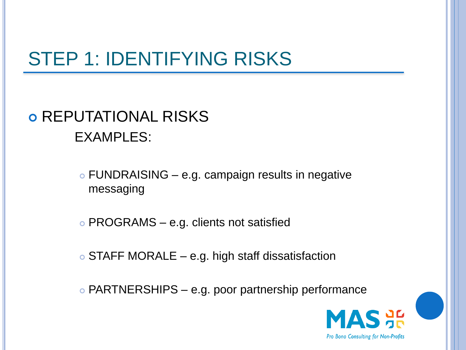#### **o REPUTATIONAL RISKS** EXAMPLES:

• FUNDRAISING – e.g. campaign results in negative messaging

• PROGRAMS – e.g. clients not satisfied

STAFF MORALE – e.g. high staff dissatisfaction

PARTNERSHIPS – e.g. poor partnership performance

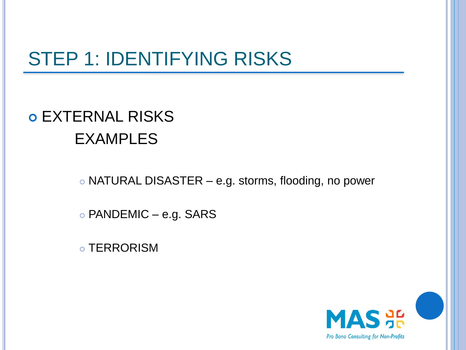### o EXTERNAL RISKS EXAMPLES

NATURAL DISASTER – e.g. storms, flooding, no power

PANDEMIC – e.g. SARS

o TERRORISM

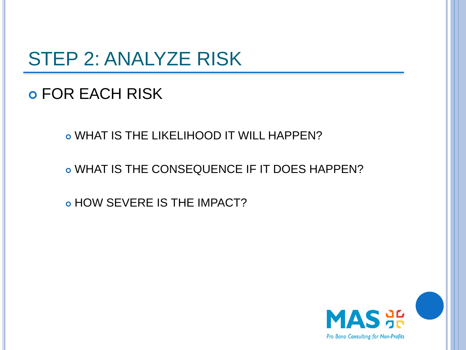### STEP 2: ANALYZE RISK

#### FOR EACH RISK

WHAT IS THE LIKELIHOOD IT WILL HAPPEN?

WHAT IS THE CONSEQUENCE IF IT DOES HAPPEN?

o HOW SEVERE IS THE IMPACT?

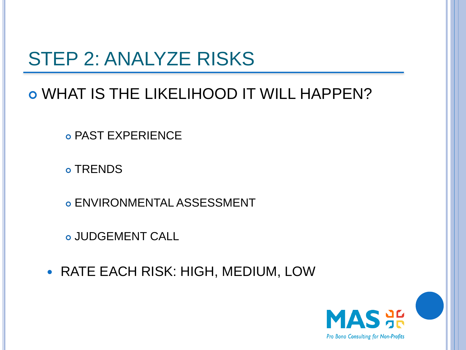### STEP 2: ANALYZE RISKS

### WHAT IS THE LIKELIHOOD IT WILL HAPPEN?

PAST EXPERIENCE

o TRENDS

ENVIRONMENTAL ASSESSMENT

JUDGEMENT CALL

RATE EACH RISK: HIGH, MEDIUM, LOW

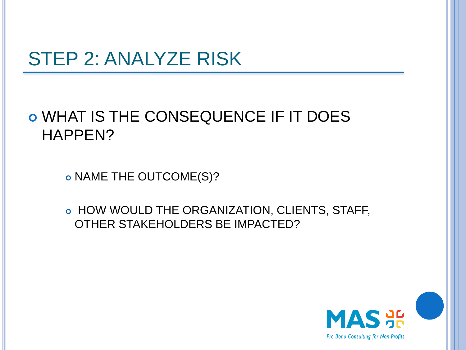### STEP 2: ANALYZE RISK

#### WHAT IS THE CONSEQUENCE IF IT DOES HAPPEN?

o NAME THE OUTCOME(S)?

 HOW WOULD THE ORGANIZATION, CLIENTS, STAFF, OTHER STAKEHOLDERS BE IMPACTED?

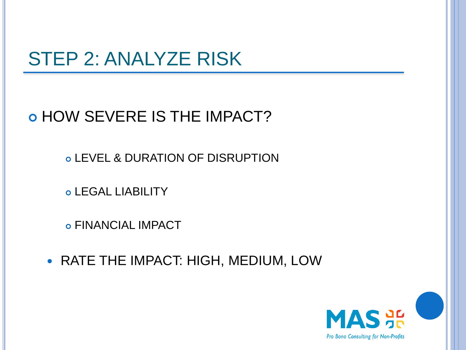### STEP 2: ANALYZE RISK

#### o HOW SEVERE IS THE IMPACT?

LEVEL & DURATION OF DISRUPTION

LEGAL LIABILITY

FINANCIAL IMPACT

RATE THE IMPACT: HIGH, MEDIUM, LOW

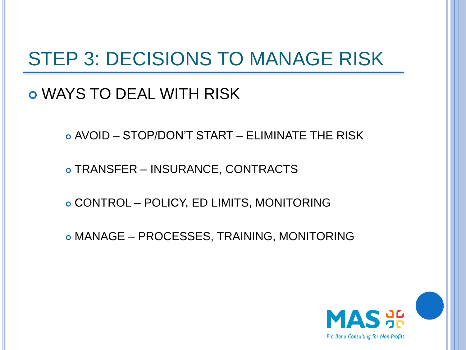### STEP 3: DECISIONS TO MANAGE RISK

#### WAYS TO DEAL WITH RISK

AVOID – STOP/DON'T START – ELIMINATE THE RISK

TRANSFER – INSURANCE, CONTRACTS

CONTROL – POLICY, ED LIMITS, MONITORING

MANAGE – PROCESSES, TRAINING, MONITORING

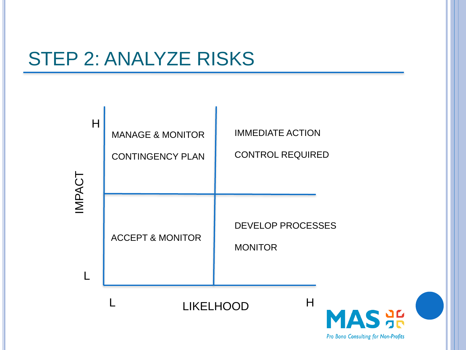### STEP 2: ANALYZE RISKS

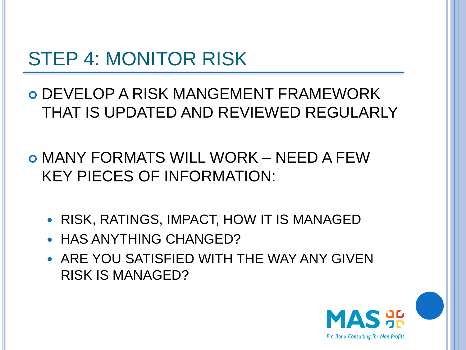### STEP 4: MONITOR RISK

 DEVELOP A RISK MANGEMENT FRAMEWORK THAT IS UPDATED AND REVIEWED REGULARLY

 MANY FORMATS WILL WORK – NEED A FEW KEY PIECES OF INFORMATION:

- RISK, RATINGS, IMPACT, HOW IT IS MANAGED
- HAS ANYTHING CHANGED?
- ARE YOU SATISFIED WITH THE WAY ANY GIVEN RISK IS MANAGED?

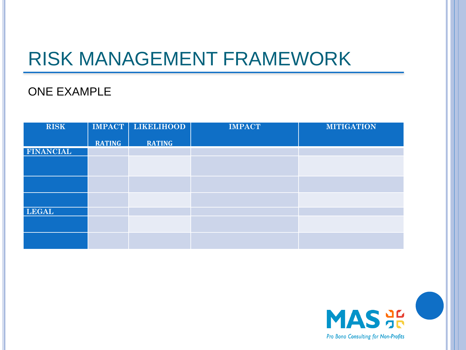# RISK MANAGEMENT FRAMEWORK

#### ONE EXAMPLE

| <b>RISK</b>      |               | IMPACT   LIKELIHOOD | <b>IMPACT</b> | <b>MITIGATION</b> |
|------------------|---------------|---------------------|---------------|-------------------|
|                  | <b>RATING</b> | <b>RATING</b>       |               |                   |
| <b>FINANCIAL</b> |               |                     |               |                   |
|                  |               |                     |               |                   |
|                  |               |                     |               |                   |
|                  |               |                     |               |                   |
|                  |               |                     |               |                   |
|                  |               |                     |               |                   |
| <b>LEGAL</b>     |               |                     |               |                   |
|                  |               |                     |               |                   |
|                  |               |                     |               |                   |

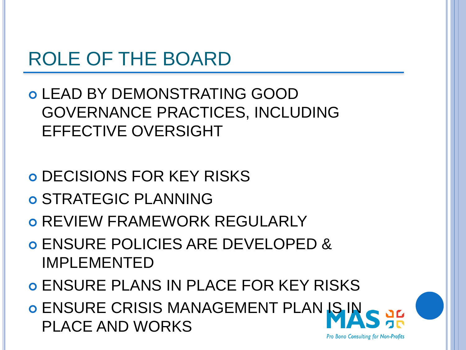# ROLE OF THE BOARD

- LEAD BY DEMONSTRATING GOOD GOVERNANCE PRACTICES, INCLUDING EFFECTIVE OVERSIGHT
- DECISIONS FOR KEY RISKS
- **o STRATEGIC PLANNING**
- **O REVIEW FRAMEWORK REGULARLY**
- ENSURE POLICIES ARE DEVELOPED & IMPLEMENTED
- **O ENSURE PLANS IN PLACE FOR KEY RISKS**
- **o ENSURE CRISIS MANAGEMENT PLAN IS IN** PLACE AND WORKS**Pro Bono Consulting for Non-Profits**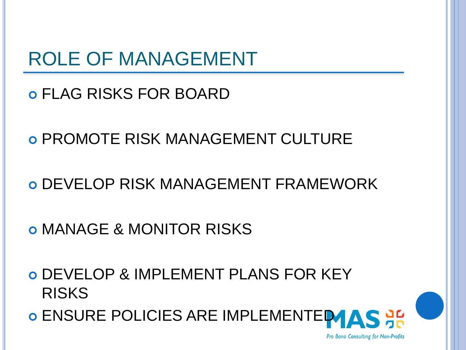### ROLE OF MANAGEMENT

FLAG RISKS FOR BOARD

**O PROMOTE RISK MANAGEMENT CULTURE** 

DEVELOP RISK MANAGEMENT FRAMEWORK

MANAGE & MONITOR RISKS

 DEVELOP & IMPLEMENT PLANS FOR KEY RISKS

**O ENSURE POLICIES ARE IMPLEMENTED.** 

**Pro Bono Consulting for Non-Profits**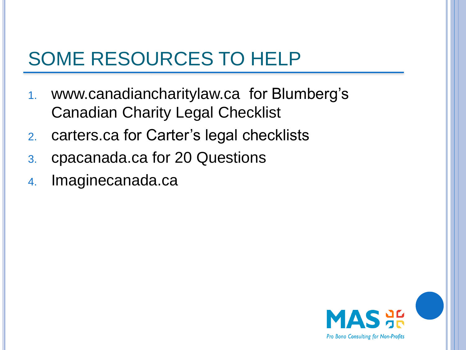### SOME RESOURCES TO HELP

- 1. www.canadiancharitylaw.ca for Blumberg's Canadian Charity Legal Checklist
- 2. carters.ca for Carter's legal checklists
- 3. cpacanada.ca for 20 Questions
- 4. Imaginecanada.ca

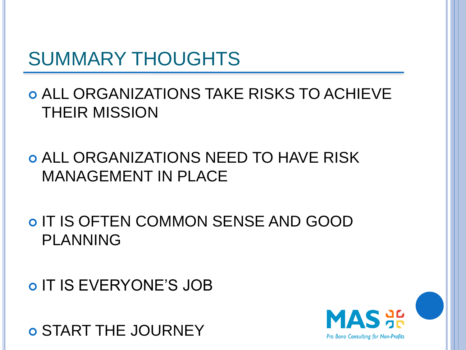### SUMMARY THOUGHTS

 ALL ORGANIZATIONS TAKE RISKS TO ACHIEVE THEIR MISSION

 ALL ORGANIZATIONS NEED TO HAVE RISK MANAGEMENT IN PLACE

 IT IS OFTEN COMMON SENSE AND GOOD PLANNING

o IT IS EVERYONE'S JOB

**O START THE JOURNEY**